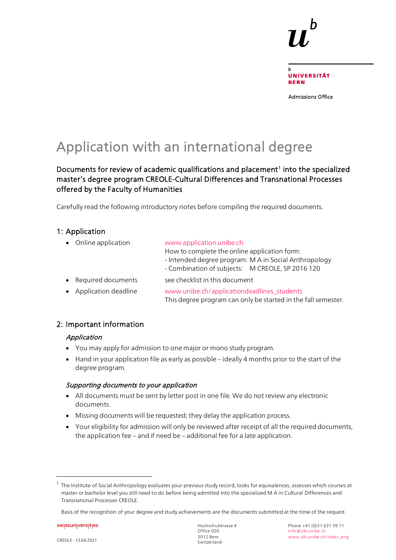

Admissions Office

# Application with an international degree

Documents for review of academic qualifications and placement<sup>[1](#page-0-0)</sup> into the specialized master's degree program CREOLE-Cultural Differences and Transnational Processes offered by the Faculty of Humanities

Carefully read the following introductory notes before compiling the required documents.

### 1: Application

| • Online application   | www.application.unibe.ch                                                                                    |  |  |
|------------------------|-------------------------------------------------------------------------------------------------------------|--|--|
|                        | How to complete the online application form:                                                                |  |  |
|                        | - Intended degree program: M A in Social Anthropology                                                       |  |  |
|                        | - Combination of subjects: M CREOLE, SP 2016 120                                                            |  |  |
| • Required documents   | see checklist in this document                                                                              |  |  |
| • Application deadline | www.unibe.ch/applicationdeadlines students<br>This degree program can only be started in the fall semester. |  |  |
|                        |                                                                                                             |  |  |

## 2: Important information

#### Application

- You may apply for admission to one major or mono study program.
- Hand in your application file as early as possible ideally 4 months prior to the start of the degree program.

#### Supporting documents to your application

- All documents must be sent by letter post in one file. We do not review any electronic documents.
- Missing documents will be requested; they delay the application process.
- Your eligibility for admission will only be reviewed after receipt of all the required documents, the application fee – and if need be – additional fee for a late application.

swissuniversities

 $\overline{a}$ 

<span id="page-0-0"></span><sup>&</sup>lt;sup>1</sup> The Institute of Social Anthropology evaluates your previous study record, looks for equivalences, assesses which courses at master or bachelor level you still need to do before being admitted into the specialized M A in Cultural Differences and Transnational Processes CREOLE.

Basis of the recognition of your degree and study achievements are the documents submitted at the time of the request.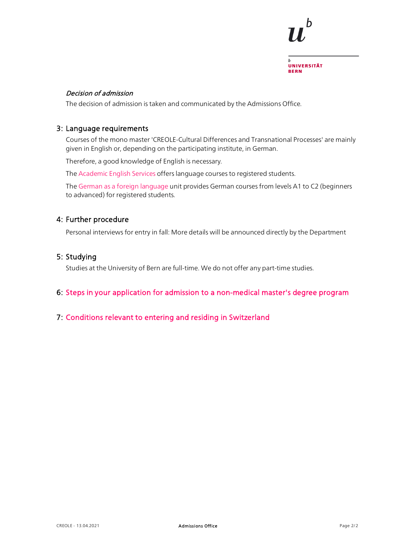

#### Decision of admission

The decision of admission is taken and communicated by the Admissions Office.

#### 3: Language requirements

Courses of the mono master 'CREOLE-Cultural Differences and Transnational Processes' are mainly given in English or, depending on the participating institute, in German.

Therefore, a good knowledge of English is necessary.

The [Academic English Services](https://edit.cms.unibe.ch/unibe/portal/content/studies/degree_programs/language_courses/aes/index_eng.html) offers language courses to registered students.

The [German as a foreign language](https://www.unibe.ch/studies/programs/language_courses/daf/index_eng.html) unit provides German courses from levels A1 to C2 (beginners to advanced) for registered students.

#### 4: Further procedure

Personal interviews for entry in fall: More details will be announced directly by the Department

#### 5: Studying

Studies at the University of Bern are full-time. We do not offer any part-time studies.

#### 6: [Steps in your application for admission to a non-medical master's degree program](https://edit.cms.unibe.ch/unibe/portal/content/e1006/e1029/e1041/e1046/e110496/e244228/Master_eng.pdf)

### 7: [Conditions relevant to entering and residing in Switzerland](https://www.unibe.ch/studies/mobility/incoming/general_information/einreise_und_aufenthaltsbestimmungen/index_eng.html)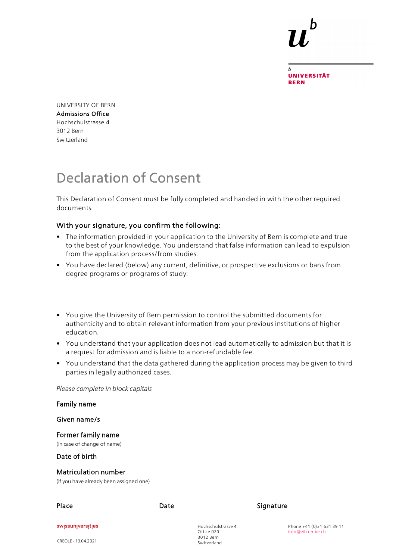**UNIVERSITÄT BERN** 

UNIVERSITY OF BERN Admissions Office Hochschulstrasse 4 3012 Bern Switzerland

# Declaration of Consent

This Declaration of Consent must be fully completed and handed in with the other required documents.

### With your signature, you confirm the following:

- The information provided in your application to the University of Bern is complete and true to the best of your knowledge. You understand that false information can lead to expulsion from the application process/from studies.
- You have declared (below) any current, definitive, or prospective exclusions or bans from degree programs or programs of study:
- You give the University of Bern permission to control the submitted documents for authenticity and to obtain relevant information from your previous institutions of higher education.
- You understand that your application does not lead automatically to admission but that it is a request for admission and is liable to a non-refundable fee.
- You understand that the data gathered during the application process may be given to third parties in legally authorized cases.

*Please complete in block capitals*

| Family name                                                            |      |                                  |           |                                                |
|------------------------------------------------------------------------|------|----------------------------------|-----------|------------------------------------------------|
| Given name/s                                                           |      |                                  |           |                                                |
| Former family name<br>(in case of change of name)                      |      |                                  |           |                                                |
| Date of birth                                                          |      |                                  |           |                                                |
| <b>Matriculation number</b><br>(if you have already been assigned one) |      |                                  |           |                                                |
| Place                                                                  | Date |                                  | Signature |                                                |
| swissuniversities                                                      |      | Hochschulstrasse 4<br>Office 020 |           | Phone +41 (0)31 631 39 11<br>info@zib.unibe.ch |
| CREOLE - 13.04.2021                                                    |      | 3012 Bern<br>Switzerland         |           |                                                |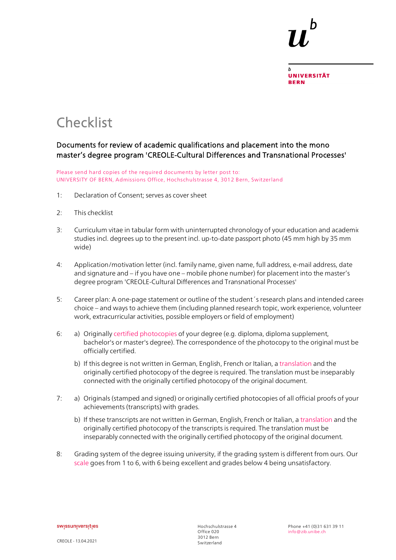

# **Checklist**

## Documents for review of academic qualifications and placement into the mono master's degree program 'CREOLE-Cultural Differences and Transnational Processes'

Please send hard copies of the required documents by letter post to: UNIVERSITY OF BERN, Admissions Office, Hochschulstrasse 4, 3012 Bern, Switzerland

- 1: Declaration of Consent; serves as cover sheet
- 2: This checklist
- 3: Curriculum vitae in tabular form with uninterrupted chronology of your education and academic studies incl. degrees up to the present incl. up-to-date passport photo (45 mm high by 35 mm wide)
- 4: Application/motivation letter (incl. family name, given name, full address, e-mail address, date and signature and – if you have one – mobile phone number) for placement into the master's degree program 'CREOLE-Cultural Differences and Transnational Processes'
- 5: Career plan: A one-page statement or outline of the student´s research plans and intended career choice – and ways to achieve them (including planned research topic, work experience, volunteer work, extracurricular activities, possible employers or field of employment)
- 6: a) Originally [certified photocopies](http://www.unibe.ch/unibe/portal/content/e1006/e15237/e335901/Certifications-translation_ger.pdf) of your degree (e.g. diploma, diploma supplement, bachelor's or master's degree). The correspondence of the photocopy to the original must be officially certified.
	- b) If this degree is not written in German, English, French or Italian, a [translation](http://www.unibe.ch/unibe/portal/content/e1006/e15237/e335901/Certifications-translation_ger.pdf) and the originally certified photocopy of the degree is required. The translation must be inseparably connected with the originally certified photocopy of the original document.
- 7: a) Originals (stamped and signed) or originally certified photocopies of all official proofs of your achievements (transcripts) with grades.
	- b) If these transcripts are not written in German, English, French or Italian, a [translation](http://www.unibe.ch/unibe/portal/content/e1006/e15237/e335901/Certifications-translation_ger.pdf) and the originally certified photocopy of the transcripts is required. The translation must be inseparably connected with the originally certified photocopy of the original document.
- 8: Grading system of the degree issuing university, if the grading system is different from ours. Our [scale](http://www.unibe.ch/studies/programs/organization_and_structure/ects_credits_and_grading_system/index_eng.html) goes from 1 to 6, with 6 being excellent and grades below 4 being unsatisfactory.